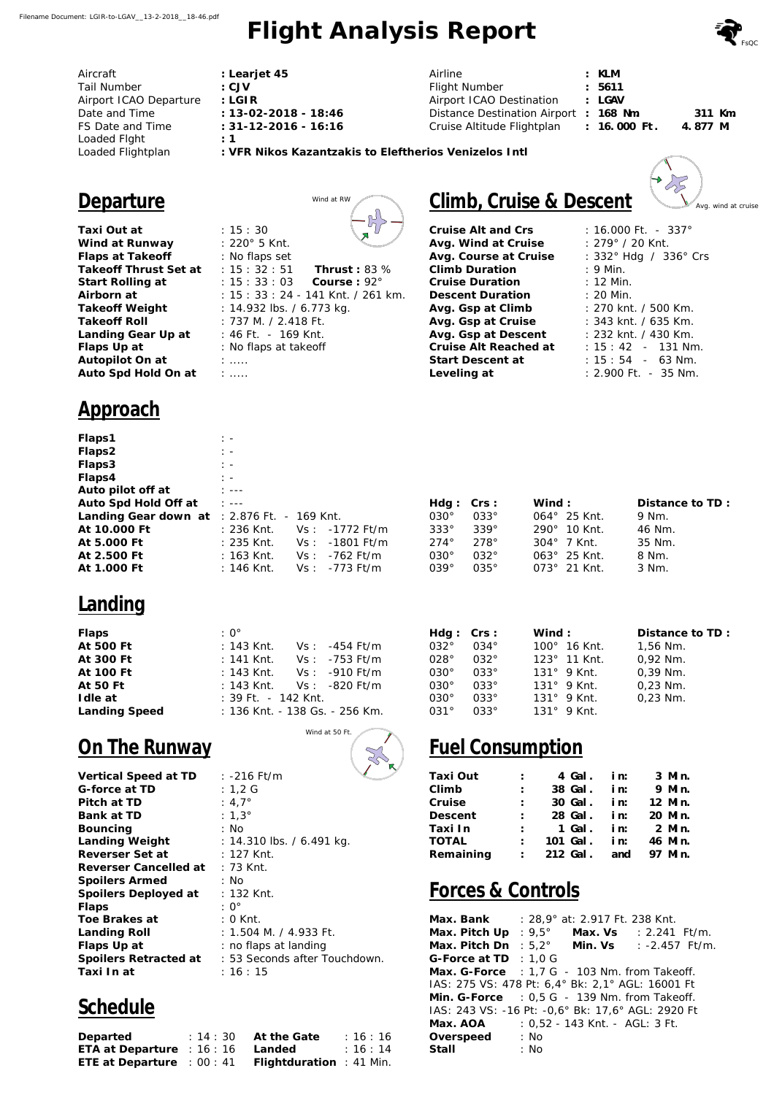# **Flight Analysis Report**

|   |  |  | S <sub>FSC</sub> |
|---|--|--|------------------|
| M |  |  |                  |

*c*<br>Avg. wind at cruise

 $-2$ 

| Aircraft               |
|------------------------|
| Tail Number            |
| Airport ICAO Departure |
| Date and Time          |
| FS Date and Time       |
| Loaded Flght           |
| Loaded Flightplan      |
|                        |

**: Learjet 45 : CJV : LGIR : 13-02-2018 - 18:46 : 31-12-2016 - 16:16 : 1**

| Airline                                | : KLM          |          |  |
|----------------------------------------|----------------|----------|--|
| Flight Number                          | : 5611         |          |  |
| Airport ICAO Destination               | : LGAV         |          |  |
| Distance Destination Airport : 168 Nm. |                | 311 Km.  |  |
| Cruise Altitude Flightplan             | $: 16.000$ Ft. | 4.877 M. |  |

**: VFR Nikos Kazantzakis to Eleftherios Venizelos Intl**

Λ H

Thrust: 83 %

#### **Departure** Wind at RW

**Taxi Out at Wind at Runway Flaps at Takeoff**  Takeoff Thrust Set at : 15 : 32 : 51 Start Rolling at : 15: 33: 03 Course : 92° **Airborn at Takeoff Weight Takeoff Roll Landing Gear Up at Flaps Up at Autopilot On at Auto Spd Hold On at**  : 15 : 30 : 220° 5 Knt. : No flaps set :  $15 : 33 : 03$ : 15 : 33 : 24 - 141 Knt. / 261 km. : 14.932 lbs. / 6.773 kg. : 737 M. / 2.418 Ft. : 46 Ft. - 169 Knt. : No flaps at takeoff : ..... : .....

#### **Approach**

| Flaps1                                           | $\mathbb{R}$                |                                    |             |     |
|--------------------------------------------------|-----------------------------|------------------------------------|-------------|-----|
| Flaps2                                           | $\frac{1}{2}$ $\frac{1}{2}$ |                                    |             |     |
| Flaps3                                           | $\mathbb{R}^n$              |                                    |             |     |
| Flaps4                                           | $\frac{1}{2}$ $\frac{1}{2}$ |                                    |             |     |
| Auto pilot off at                                | $1 - - -$                   |                                    |             |     |
| Auto Spd Hold Off at                             | $1 - 2 - 2$                 |                                    | Hdg:        | Crs |
| Landing Gear down at $\div$ 2.876 Ft. - 169 Knt. |                             |                                    | $030^\circ$ | 033 |
| At 10.000 Ft                                     |                             | : 236 Knt.       Vs :   -1772 Ft/m | $333^\circ$ | 339 |
| At 5,000 Ft                                      |                             |                                    | $274^\circ$ | 278 |
| At 2.500 Ft                                      |                             | : 163 Knt. $Vs: -762$ Ft/m         | $030^\circ$ | 032 |
| At 1,000 Ft                                      | :146 Knt.                   | $Vs: -773 Ft/m$                    | $039^\circ$ | 035 |

#### **Landing**

| Flaps         | $: 0^{\circ}$                  |
|---------------|--------------------------------|
| At 500 Ft     | : 143 Knt. $Vs: -454$ Ft/m     |
| At 300 Ft     | : 141 Knt. $Vs: -753$ Ft/m     |
| At 100 Ft     | : 143 Knt. $Vs: -910$ Ft/m     |
| At 50 Ft      | : 143 Knt. $Vs: -820$ Ft/m     |
| I dle at      | $: 39$ Ft. $- 142$ Knt.        |
| Landing Speed | : 136 Knt. - 138 Gs. - 256 Km. |

## **On The Runway**

| Vertical Speed at TD  | : -216 Ft/m                  |
|-----------------------|------------------------------|
| G-force at TD         | :1,2 G                       |
| Pitch at TD           | : 4,7 $^{\circ}$             |
| Bank at TD            | : 1,3 $^{\circ}$             |
| Bouncing              | : No                         |
| Landing Weight        | : 14.310 lbs. / 6.491 kg.    |
| Reverser Set at       | : 127 Knt.                   |
| Reverser Cancelled at | : 73 Knt.                    |
| Spoilers Armed        | : No                         |
| Spoilers Deployed at  | : 132 Knt.                   |
| Flaps                 | : O°                         |
| Toe Brakes at         | : 0 Knt.                     |
| Landing Roll          | : 1.504 M. / 4.933 Ft.       |
| Flaps Up at           | : no flaps at landing        |
| Spoilers Retracted at | : 53 Seconds after Touchdown |
| Taxi In at            | :16:15                       |

## **Schedule**

| Departed                          | $: 14:30$ At the Gate   | : 16:16 |
|-----------------------------------|-------------------------|---------|
| ETA at Departure : $16:16$ Landed |                         | : 16:14 |
| ETE at Departure : $00:41$        | Flightduration: 41 Min. |         |

| Climb, Cruise & Descent |
|-------------------------|

**Cruise Alt and Crs Avg. Wind at Cruise Avg. Course at Cruise Climb Duration Cruise Duration Descent Duration Avg. Gsp at Climb Avg. Gsp at Cruise Avg. Gsp at Descent Cruise Alt Reached at Start Descent at Leveling at** 

| : $16.000$ Ft. - $337^\circ$ |
|------------------------------|
| : 279° / 20 Knt.             |
| : 332° Hdg / 336° Crs        |
| $: 9$ Min.                   |
| $: 12$ Min.                  |
| $: 20$ Min.                  |
| : 270 knt. / 500 Km.         |
| : 343 knt. / 635 Km.         |
| : 232 knt. / 430 Km.         |
| $: 15: 42 - 131$ Nm.         |
| $: 15:54 - 63$ Nm.           |
| $: 2.900$ Ft. $-35$ Nm.      |

| Hdg: Crs:    |              | Wind :                | Distance to TD: |
|--------------|--------------|-----------------------|-----------------|
| $030^\circ$  | $033^\circ$  | $064^{\circ}$ 25 Knt. | 9 Nm.           |
| $333^\circ$  | $339^\circ$  | $290^{\circ}$ 10 Knt. | 46 Nm.          |
| $274^\circ$  | $278^\circ$  | $304^{\circ}$ 7 Knt.  | 35 Nm.          |
| $030^\circ$  | $032^\circ$  | $063^{\circ}$ 25 Knt. | 8 Nm.           |
| $0.39^\circ$ | $0.35^\circ$ | $073^{\circ}$ 21 Knt. | 3 Nm.           |
|              |              |                       |                 |

| Hdg: Crs:    |              | Wind :                | Distance to TD: |
|--------------|--------------|-----------------------|-----------------|
| $0.32$ °     | $0.34^\circ$ | 100° 16 Knt.          | $1,56$ Nm.      |
| 028°         | $0.32^\circ$ | $123^{\circ}$ 11 Knt. | 0,92 Nm.        |
| $030^\circ$  | $033^\circ$  | $131^{\circ}$ 9 Knt.  | $0.39$ Nm.      |
| $0.30^\circ$ | $0.33^\circ$ | $131^{\circ}$ 9 Knt.  | $0.23$ Nm.      |
| $0.30^\circ$ | $0.33^\circ$ | $131^{\circ}$ 9 Knt.  | $0,23$ Nm.      |
| $0.31^\circ$ | $0.33^\circ$ | $131^\circ$ 9 Knt     |                 |

## **Fuel Consumption**

| Taxi Out  | $\mathbb{R}^{\mathbb{Z}}$        | 4 Gal. in:             | 3 Min. |        |
|-----------|----------------------------------|------------------------|--------|--------|
| Climb     | t in                             | 38 Gal. in:            |        | 9 Min. |
| Cruise    | $1 - 1$                          | 30 Gal. in: 12 Min.    |        |        |
| Descent   | $1 - 1$                          | 28 Gal. in: 20 Min.    |        |        |
| Taxi In   |                                  | : 1 Gal. in: 2 Min.    |        |        |
| TOTAL     | $\mathcal{L} = \{1, \ldots, n\}$ | 101 Gal. in: 46 Min.   |        |        |
| Remaining |                                  | : 212 Gal. and 97 Min. |        |        |
|           |                                  |                        |        |        |

#### **Forces & Controls**

| Max. Bank : 28,9° at: 2.917 Ft. 238 Knt.                |      |                                |                                        |  |
|---------------------------------------------------------|------|--------------------------------|----------------------------------------|--|
| Max. Pitch Up                                           |      |                                | : $9.5^{\circ}$ Max. Vs : 2.241 Ft/m.  |  |
| Max. Pitch Dn                                           |      |                                | : $5.2^{\circ}$ Min. Vs : -2.457 Ft/m. |  |
| G-Force at TD $\div$ 1.0 G                              |      |                                |                                        |  |
| Max. G-Force $\div$ 1.7 G - 103 Nm. from Takeoff.       |      |                                |                                        |  |
| IAS: 275 VS: 478 Pt: 6,4° Bk: 2,1° AGL: 16001 Ft        |      |                                |                                        |  |
| Min. G-Force $\therefore$ 0.5 G - 139 Nm. from Takeoff. |      |                                |                                        |  |
| IAS: 243 VS: -16 Pt: -0,6° Bk: 17,6° AGL: 2920 Ft       |      |                                |                                        |  |
| Max. AOA                                                |      | : 0,52 - 143 Knt. - AGL: 3 Ft. |                                        |  |
| Overspeed                                               | : No |                                |                                        |  |
| Stall                                                   | : No |                                |                                        |  |